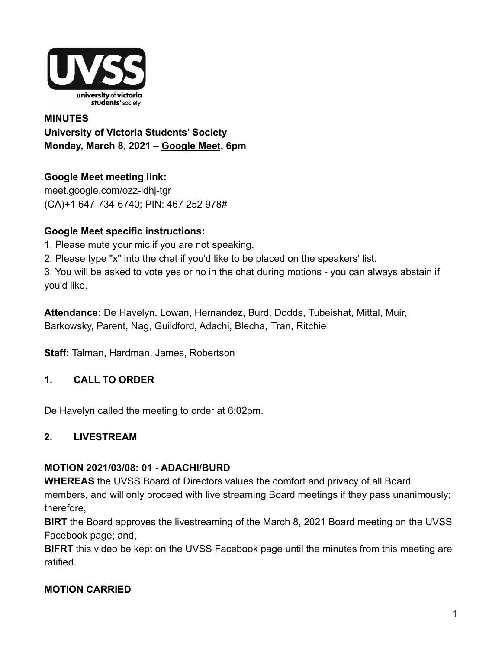

# **MINUTES University of Victoria Students' Society Monday, March 8, 2021 – [Google Meet](http://meet.google.com/ozz-idhj-tgr), 6pm**

**Google Meet meeting link[:](https://us02web.zoom.us/j/84726203931?pwd=bGNKTElKZEFIWkNvRlY2TFBqb3dQUT09)** [meet.google.com/ozz-idhj-tgr](https://meet.google.com/ozz-idhj-tgr?hs=122&authuser=2) (CA)+1 647-734-6740; PIN: 467 252 978#

#### **Google Meet specific instructions:**

- 1. Please mute your mic if you are not speaking.
- 2. Please type "x" into the chat if you'd like to be placed on the speakers' list.

3. You will be asked to vote yes or no in the chat during motions - you can always abstain if you'd like.

**Attendance:** De Havelyn, Lowan, Hernandez, Burd, Dodds, Tubeishat, Mittal, Muir, Barkowsky, Parent, Nag, Guildford, Adachi, Blecha, Tran, Ritchie

**Staff:** Talman, Hardman, James, Robertson

### **1. CALL TO ORDER**

De Havelyn called the meeting to order at 6:02pm.

#### **2. LIVESTREAM**

#### **MOTION 2021/03/08: 01 - ADACHI/BURD**

**WHEREAS** the UVSS Board of Directors values the comfort and privacy of all Board members, and will only proceed with live streaming Board meetings if they pass unanimously; therefore,

**BIRT** the Board approves the livestreaming of the March 8, 2021 Board meeting on the UVSS Facebook page; and,

**BIFRT** this video be kept on the UVSS Facebook page until the minutes from this meeting are ratified.

### **MOTION CARRIED**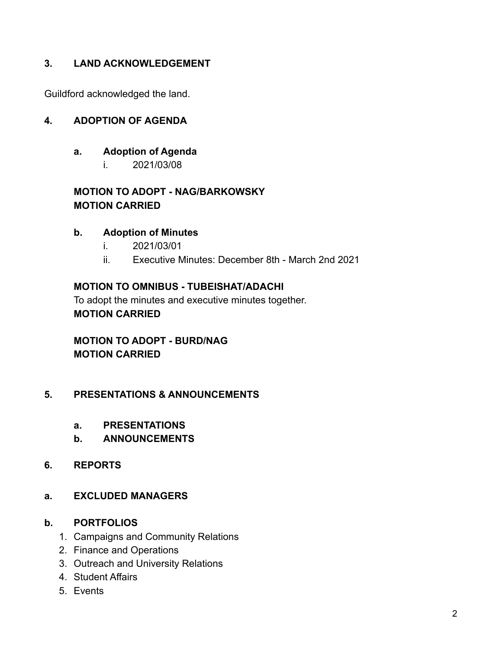#### **3. LAND ACKNOWLEDGEMENT**

Guildford acknowledged the land.

#### **4. ADOPTION OF AGENDA**

#### **a. Adoption of Agenda**

i. 2021/03/08

#### **MOTION TO ADOPT - NAG/BARKOWSKY MOTION CARRIED**

#### **b. Adoption of Minutes**

- i. 2021/03/01
- ii. Executive Minutes: December 8th March 2nd 2021

#### **MOTION TO OMNIBUS - TUBEISHAT/ADACHI**

To adopt the minutes and executive minutes together. **MOTION CARRIED**

### **MOTION TO ADOPT - BURD/NAG MOTION CARRIED**

#### **5. PRESENTATIONS & ANNOUNCEMENTS**

- **a. PRESENTATIONS**
- **b. ANNOUNCEMENTS**
- **6. REPORTS**
- **a. EXCLUDED MANAGERS**

#### **b. PORTFOLIOS**

- 1. Campaigns and Community Relations
- 2. Finance and Operations
- 3. Outreach and University Relations
- 4. Student Affairs
- 5. Events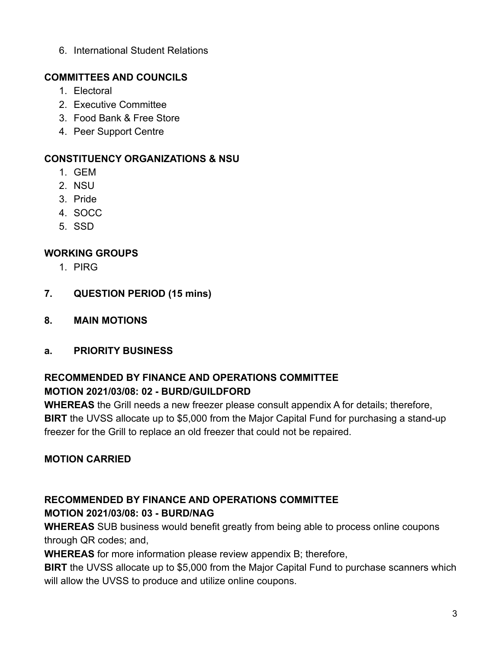6. International Student Relations

## **COMMITTEES AND COUNCILS**

- 1. Electoral
- 2. Executive Committee
- 3. Food Bank & Free Store
- 4. Peer Support Centre

# **CONSTITUENCY ORGANIZATIONS & NSU**

- 1. GEM
- 2. NSU
- 3. Pride
- 4. SOCC
- 5. SSD

# **WORKING GROUPS**

- 1. PIRG
- **7. QUESTION PERIOD (15 mins)**
- **8. MAIN MOTIONS**
- **a. PRIORITY BUSINESS**

### **RECOMMENDED BY FINANCE AND OPERATIONS COMMITTEE MOTION 2021/03/08: 02 - BURD/GUILDFORD**

**WHEREAS** the Grill needs a new freezer please consult appendix A for details; therefore, **BIRT** the UVSS allocate up to \$5,000 from the Major Capital Fund for purchasing a stand-up freezer for the Grill to replace an old freezer that could not be repaired.

# **MOTION CARRIED**

#### **RECOMMENDED BY FINANCE AND OPERATIONS COMMITTEE MOTION 2021/03/08: 03 - BURD/NAG**

**WHEREAS** SUB business would benefit greatly from being able to process online coupons through QR codes; and,

**WHEREAS** for more information please review appendix B; therefore,

**BIRT** the UVSS allocate up to \$5,000 from the Major Capital Fund to purchase scanners which will allow the UVSS to produce and utilize online coupons.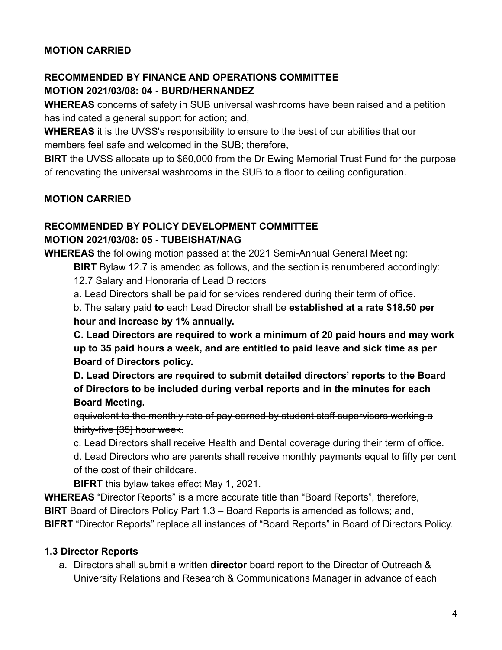#### **MOTION CARRIED**

# **RECOMMENDED BY FINANCE AND OPERATIONS COMMITTEE MOTION 2021/03/08: 04 - BURD/HERNANDEZ**

**WHEREAS** concerns of safety in SUB universal washrooms have been raised and a petition has indicated a general support for action; and,

**WHEREAS** it is the UVSS's responsibility to ensure to the best of our abilities that our members feel safe and welcomed in the SUB; therefore,

**BIRT** the UVSS allocate up to \$60,000 from the Dr Ewing Memorial Trust Fund for the purpose of renovating the universal washrooms in the SUB to a floor to ceiling configuration.

#### **MOTION CARRIED**

# **RECOMMENDED BY POLICY DEVELOPMENT COMMITTEE**

#### **MOTION 2021/03/08: 05 - TUBEISHAT/NAG**

**WHEREAS** the following motion passed at the 2021 Semi-Annual General Meeting:

**BIRT** Bylaw 12.7 is amended as follows, and the section is renumbered accordingly:

12.7 Salary and Honoraria of Lead Directors

a. Lead Directors shall be paid for services rendered during their term of office.

b. The salary paid **to** each Lead Director shall be **established at a rate \$18.50 per hour and increase by 1% annually.**

**C. Lead Directors are required to work a minimum of 20 paid hours and may work up to 35 paid hours a week, and are entitled to paid leave and sick time as per Board of Directors policy.**

**D. Lead Directors are required to submit detailed directors' reports to the Board of Directors to be included during verbal reports and in the minutes for each Board Meeting.**

equivalent to the monthly rate of pay earned by student staff supervisors working a thirty-five [35] hour week.

c. Lead Directors shall receive Health and Dental coverage during their term of office.

d. Lead Directors who are parents shall receive monthly payments equal to fifty per cent of the cost of their childcare.

**BIFRT** this bylaw takes effect May 1, 2021.

**WHEREAS** "Director Reports" is a more accurate title than "Board Reports", therefore, **BIRT** Board of Directors Policy Part 1.3 – Board Reports is amended as follows; and, **BIFRT** "Director Reports" replace all instances of "Board Reports" in Board of Directors Policy.

### **1.3 Director Reports**

a. Directors shall submit a written **director** board report to the Director of Outreach & University Relations and Research & Communications Manager in advance of each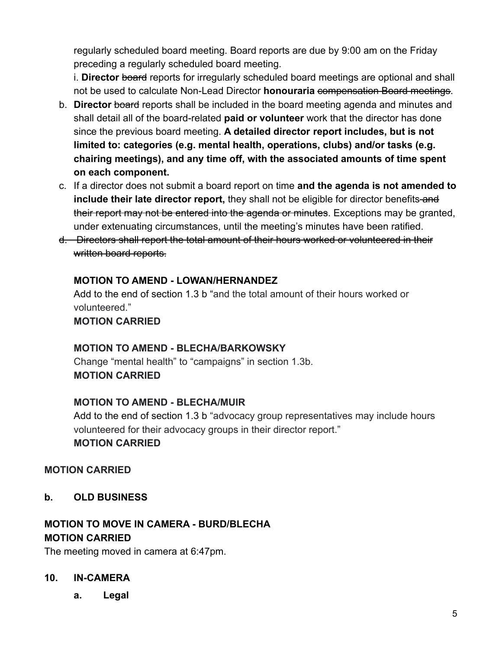regularly scheduled board meeting. Board reports are due by 9:00 am on the Friday preceding a regularly scheduled board meeting.

i. **Director** board reports for irregularly scheduled board meetings are optional and shall not be used to calculate Non-Lead Director **honouraria** compensation Board meetings.

- b. **Director** board reports shall be included in the board meeting agenda and minutes and shall detail all of the board-related **paid or volunteer** work that the director has done since the previous board meeting. **A detailed director report includes, but is not limited to: categories (e.g. mental health, operations, clubs) and/or tasks (e.g. chairing meetings), and any time off, with the associated amounts of time spent on each component.**
- c. If a director does not submit a board report on time **and the agenda is not amended to include their late director report,** they shall not be eligible for director benefits-and their report may not be entered into the agenda or minutes. Exceptions may be granted, under extenuating circumstances, until the meeting's minutes have been ratified.
- d. Directors shall report the total amount of their hours worked or volunteered in their written board reports.

#### **MOTION TO AMEND - LOWAN/HERNANDEZ**

Add to the end of section 1.3 b "and the total amount of their hours worked or volunteered."

**MOTION CARRIED**

### **MOTION TO AMEND - BLECHA/BARKOWSKY**

Change "mental health" to "campaigns" in section 1.3b. **MOTION CARRIED**

### **MOTION TO AMEND - BLECHA/MUIR**

Add to the end of section 1.3 b "advocacy group representatives may include hours volunteered for their advocacy groups in their director report." **MOTION CARRIED**

### **MOTION CARRIED**

**b. OLD BUSINESS**

# **MOTION TO MOVE IN CAMERA - BURD/BLECHA MOTION CARRIED**

The meeting moved in camera at 6:47pm.

#### **10. IN-CAMERA**

**a. Legal**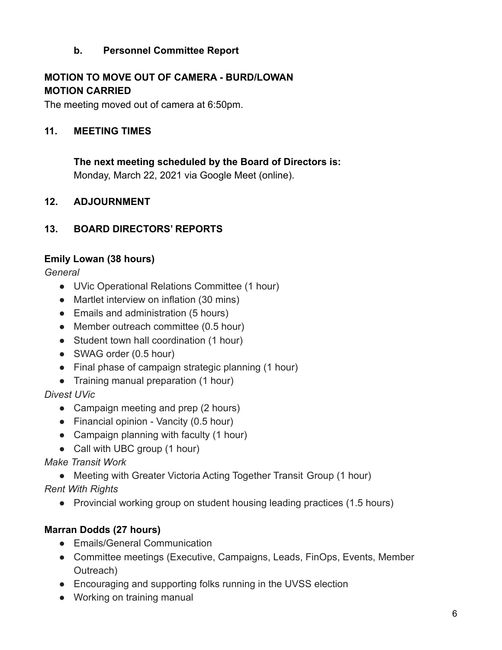### **b. Personnel Committee Report**

# **MOTION TO MOVE OUT OF CAMERA - BURD/LOWAN MOTION CARRIED**

The meeting moved out of camera at 6:50pm.

#### **11. MEETING TIMES**

**The next meeting scheduled by the Board of Directors is:** Monday, March 22, 2021 via Google Meet (online).

#### **12. ADJOURNMENT**

#### **13. BOARD DIRECTORS' REPORTS**

#### **Emily Lowan (38 hours)**

*General*

- UVic Operational Relations Committee (1 hour)
- Martlet interview on inflation (30 mins)
- Emails and administration (5 hours)
- Member outreach committee (0.5 hour)
- Student town hall coordination (1 hour)
- SWAG order (0.5 hour)
- Final phase of campaign strategic planning (1 hour)
- Training manual preparation (1 hour)

*Divest UVic*

- Campaign meeting and prep (2 hours)
- Financial opinion Vancity (0.5 hour)
- Campaign planning with faculty (1 hour)
- Call with UBC group (1 hour)

#### *Make Transit Work*

• Meeting with Greater Victoria Acting Together Transit Group (1 hour)

*Rent With Rights*

● Provincial working group on student housing leading practices (1.5 hours)

### **Marran Dodds (27 hours)**

- Emails/General Communication
- Committee meetings (Executive, Campaigns, Leads, FinOps, Events, Member Outreach)
- Encouraging and supporting folks running in the UVSS election
- Working on training manual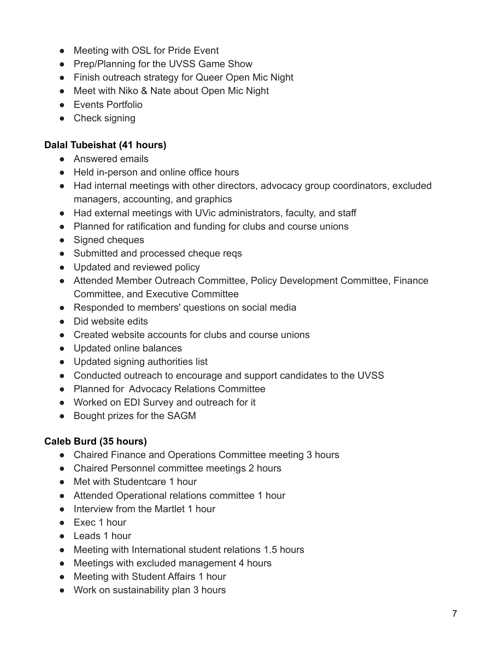- Meeting with OSL for Pride Event
- Prep/Planning for the UVSS Game Show
- Finish outreach strategy for Queer Open Mic Night
- Meet with Niko & Nate about Open Mic Night
- Events Portfolio
- Check signing

#### **Dalal Tubeishat (41 hours)**

- Answered emails
- Held in-person and online office hours
- Had internal meetings with other directors, advocacy group coordinators, excluded managers, accounting, and graphics
- Had external meetings with UVic administrators, faculty, and staff
- Planned for ratification and funding for clubs and course unions
- Signed cheques
- Submitted and processed cheque reqs
- Updated and reviewed policy
- Attended Member Outreach Committee, Policy Development Committee, Finance Committee, and Executive Committee
- Responded to members' questions on social media
- Did website edits
- Created website accounts for clubs and course unions
- Updated online balances
- Updated signing authorities list
- Conducted outreach to encourage and support candidates to the UVSS
- Planned for Advocacy Relations Committee
- Worked on EDI Survey and outreach for it
- Bought prizes for the SAGM

#### **Caleb Burd (35 hours)**

- Chaired Finance and Operations Committee meeting 3 hours
- Chaired Personnel committee meetings 2 hours
- Met with Studentcare 1 hour
- Attended Operational relations committee 1 hour
- Interview from the Martlet 1 hour
- Exec 1 hour
- Leads 1 hour
- Meeting with International student relations 1.5 hours
- Meetings with excluded management 4 hours
- Meeting with Student Affairs 1 hour
- Work on sustainability plan 3 hours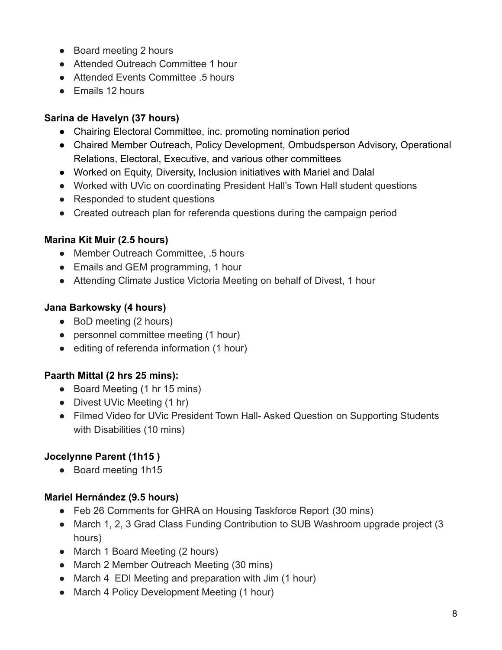- Board meeting 2 hours
- Attended Outreach Committee 1 hour
- Attended Events Committee 5 hours
- Emails 12 hours

# **Sarina de Havelyn (37 hours)**

- Chairing Electoral Committee, inc. promoting nomination period
- Chaired Member Outreach, Policy Development, Ombudsperson Advisory, Operational Relations, Electoral, Executive, and various other committees
- Worked on Equity, Diversity, Inclusion initiatives with Mariel and Dalal
- Worked with UVic on coordinating President Hall's Town Hall student questions
- Responded to student questions
- Created outreach plan for referenda questions during the campaign period

# **Marina Kit Muir (2.5 hours)**

- Member Outreach Committee, .5 hours
- Emails and GEM programming, 1 hour
- Attending Climate Justice Victoria Meeting on behalf of Divest, 1 hour

### **Jana Barkowsky (4 hours)**

- BoD meeting (2 hours)
- personnel committee meeting (1 hour)
- editing of referenda information (1 hour)

### **Paarth Mittal (2 hrs 25 mins):**

- Board Meeting (1 hr 15 mins)
- Divest UVic Meeting (1 hr)
- Filmed Video for UVic President Town Hall- Asked Question on Supporting Students with Disabilities (10 mins)

# **Jocelynne Parent (1h15 )**

● Board meeting 1h15

### **Mariel Hernández (9.5 hours)**

- Feb 26 Comments for GHRA on Housing Taskforce Report (30 mins)
- March 1, 2, 3 Grad Class Funding Contribution to SUB Washroom upgrade project (3 hours)
- March 1 Board Meeting (2 hours)
- March 2 Member Outreach Meeting (30 mins)
- March 4 EDI Meeting and preparation with Jim (1 hour)
- March 4 Policy Development Meeting (1 hour)